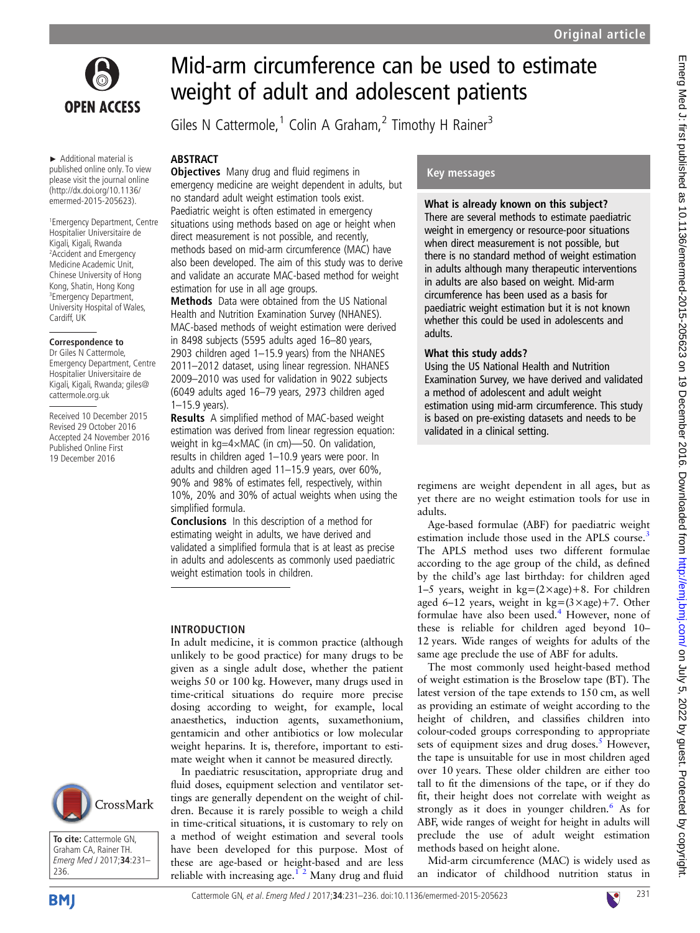

► Additional material is published online only. To view please visit the journal online (http://dx.doi.org/10.1136/ emermed-2015-205623).

1 Emergency Department, Centre Hospitalier Universitaire de Kigali, Kigali, Rwanda 2 Accident and Emergency Medicine Academic Unit, Chinese University of Hong Kong, Shatin, Hong Kong 3 Emergency Department, University Hospital of Wales, Cardiff, UK

#### **Correspondence to**

Dr Giles N Cattermole, Emergency Department, Centre Hospitalier Universitaire de Kigali, Kigali, Rwanda; giles@ cattermole.org.uk

Received 10 December 2015 Revised 29 October 2016 Accepted 24 November 2016 Published Online First 19 December 2016

# Mid-arm circumference can be used to estimate weight of adult and adolescent patients

Giles N Cattermole,<sup>1</sup> Colin A Graham,<sup>2</sup> Timothy H Rainer<sup>3</sup>

# ABSTRACT

**Objectives** Many drug and fluid regimens in emergency medicine are weight dependent in adults, but no standard adult weight estimation tools exist. Paediatric weight is often estimated in emergency situations using methods based on age or height when direct measurement is not possible, and recently, methods based on mid-arm circumference (MAC) have also been developed. The aim of this study was to derive and validate an accurate MAC-based method for weight estimation for use in all age groups.

Methods Data were obtained from the US National Health and Nutrition Examination Survey (NHANES). MAC-based methods of weight estimation were derived in 8498 subjects (5595 adults aged 16–80 years, 2903 children aged 1–15.9 years) from the NHANES 2011–2012 dataset, using linear regression. NHANES 2009–2010 was used for validation in 9022 subjects (6049 adults aged 16–79 years, 2973 children aged 1–15.9 years).

Results A simplified method of MAC-based weight estimation was derived from linear regression equation: weight in kg=4×MAC (in cm)—50. On validation, results in children aged 1–10.9 years were poor. In adults and children aged 11–15.9 years, over 60%, 90% and 98% of estimates fell, respectively, within 10%, 20% and 30% of actual weights when using the simplified formula.

Conclusions In this description of a method for estimating weight in adults, we have derived and validated a simplified formula that is at least as precise in adults and adolescents as commonly used paediatric weight estimation tools in children.

## INTRODUCTION

In adult medicine, it is common practice (although unlikely to be good practice) for many drugs to be given as a single adult dose, whether the patient weighs 50 or 100 kg. However, many drugs used in time-critical situations do require more precise dosing according to weight, for example, local anaesthetics, induction agents, suxamethonium, gentamicin and other antibiotics or low molecular weight heparins. It is, therefore, important to estimate weight when it cannot be measured directly.

In paediatric resuscitation, appropriate drug and fluid doses, equipment selection and ventilator settings are generally dependent on the weight of children. Because it is rarely possible to weigh a child in time-critical situations, it is customary to rely on a method of weight estimation and several tools have been developed for this purpose. Most of these are age-based or height-based and are less reliable with increasing age.<sup>12</sup> Many drug and fluid

# Key messages

## What is already known on this subject?

There are several methods to estimate paediatric weight in emergency or resource-poor situations when direct measurement is not possible, but there is no standard method of weight estimation in adults although many therapeutic interventions in adults are also based on weight. Mid-arm circumference has been used as a basis for paediatric weight estimation but it is not known whether this could be used in adolescents and adults.

## What this study adds?

Using the US National Health and Nutrition Examination Survey, we have derived and validated a method of adolescent and adult weight estimation using mid-arm circumference. This study is based on pre-existing datasets and needs to be validated in a clinical setting.

regimens are weight dependent in all ages, but as yet there are no weight estimation tools for use in adults.

Age-based formulae (ABF) for paediatric weight estimation include those used in the APLS course.<sup>[3](#page-5-0)</sup> The APLS method uses two different formulae according to the age group of the child, as defined by the child's age last birthday: for children aged 1–5 years, weight in  $kg=(2\times age)+8$ . For children aged 6–12 years, weight in  $kg=(3 \times age) + 7$ . Other formulae have also been used.<sup>[4](#page-5-0)</sup> However, none of these is reliable for children aged beyond 10– 12 years. Wide ranges of weights for adults of the same age preclude the use of ABF for adults.

The most commonly used height-based method of weight estimation is the Broselow tape (BT). The latest version of the tape extends to 150 cm, as well as providing an estimate of weight according to the height of children, and classifies children into colour-coded groups corresponding to appropriate sets of equipment sizes and drug doses. $<sup>5</sup>$  $<sup>5</sup>$  $<sup>5</sup>$  However,</sup> the tape is unsuitable for use in most children aged over 10 years. These older children are either too tall to fit the dimensions of the tape, or if they do fit, their height does not correlate with weight as strongly as it does in younger children.<sup>[6](#page-5-0)</sup> As for ABF, wide ranges of weight for height in adults will preclude the use of adult weight estimation methods based on height alone.

Mid-arm circumference (MAC) is widely used as an indicator of childhood nutrition status in



**To cite:** Cattermole GN, Graham CA, Rainer TH. Emerg Med J 2017;**34**:231– 236.



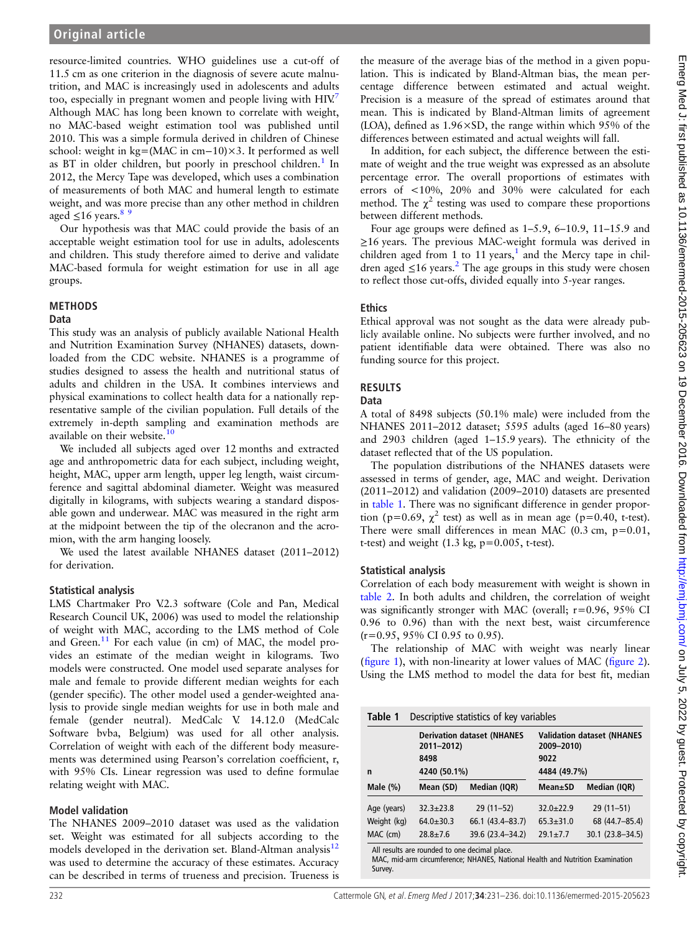resource-limited countries. WHO guidelines use a cut-off of 11.5 cm as one criterion in the diagnosis of severe acute malnutrition, and MAC is increasingly used in adolescents and adults too, especially in pregnant women and people living with  $HIV<sup>7</sup>$  $HIV<sup>7</sup>$  $HIV<sup>7</sup>$ Although MAC has long been known to correlate with weight, no MAC-based weight estimation tool was published until 2010. This was a simple formula derived in children of Chinese school: weight in kg=(MAC in cm−10)×3. It performed as well as BT in older children, but poorly in preschool children.<sup>[1](#page-5-0)</sup> In 2012, the Mercy Tape was developed, which uses a combination of measurements of both MAC and humeral length to estimate weight, and was more precise than any other method in children aged  $\leq$ 16 years.<sup>89</sup>

Our hypothesis was that MAC could provide the basis of an acceptable weight estimation tool for use in adults, adolescents and children. This study therefore aimed to derive and validate MAC-based formula for weight estimation for use in all age groups.

#### METHODS

#### Data

This study was an analysis of publicly available National Health and Nutrition Examination Survey (NHANES) datasets, downloaded from the CDC website. NHANES is a programme of studies designed to assess the health and nutritional status of adults and children in the USA. It combines interviews and physical examinations to collect health data for a nationally representative sample of the civilian population. Full details of the extremely in-depth sampling and examination methods are available on their website.<sup>[10](#page-5-0)</sup>

We included all subjects aged over 12 months and extracted age and anthropometric data for each subject, including weight, height, MAC, upper arm length, upper leg length, waist circumference and sagittal abdominal diameter. Weight was measured digitally in kilograms, with subjects wearing a standard disposable gown and underwear. MAC was measured in the right arm at the midpoint between the tip of the olecranon and the acromion, with the arm hanging loosely.

We used the latest available NHANES dataset (2011–2012) for derivation.

## Statistical analysis

LMS Chartmaker Pro V.2.3 software (Cole and Pan, Medical Research Council UK, 2006) was used to model the relationship of weight with MAC, according to the LMS method of Cole and Green.<sup>[11](#page-5-0)</sup> For each value (in cm) of MAC, the model provides an estimate of the median weight in kilograms. Two models were constructed. One model used separate analyses for male and female to provide different median weights for each (gender specific). The other model used a gender-weighted analysis to provide single median weights for use in both male and female (gender neutral). MedCalc V. 14.12.0 (MedCalc Software bvba, Belgium) was used for all other analysis. Correlation of weight with each of the different body measurements was determined using Pearson's correlation coefficient, r, with 95% CIs. Linear regression was used to define formulae relating weight with MAC.

## Model validation

The NHANES 2009–2010 dataset was used as the validation set. Weight was estimated for all subjects according to the models developed in the derivation set. Bland-Altman analysis<sup>12</sup> was used to determine the accuracy of these estimates. Accuracy can be described in terms of trueness and precision. Trueness is

the measure of the average bias of the method in a given population. This is indicated by Bland-Altman bias, the mean percentage difference between estimated and actual weight. Precision is a measure of the spread of estimates around that mean. This is indicated by Bland-Altman limits of agreement (LOA), defined as 1.96×SD, the range within which 95% of the differences between estimated and actual weights will fall.

In addition, for each subject, the difference between the estimate of weight and the true weight was expressed as an absolute percentage error. The overall proportions of estimates with errors of <10%, 20% and 30% were calculated for each method. The  $\chi^2$  testing was used to compare these proportions between different methods.

Four age groups were defined as 1–5.9, 6–10.9, 11–15.9 and ≥16 years. The previous MAC-weight formula was derived in children aged from [1](#page-5-0) to 11 years,<sup>1</sup> and the Mercy tape in children aged  $\leq$ 16 years.<sup>2</sup> The age groups in this study were chosen to reflect those cut-offs, divided equally into 5-year ranges.

#### **Ethics**

Ethical approval was not sought as the data were already publicly available online. No subjects were further involved, and no patient identifiable data were obtained. There was also no funding source for this project.

## RESULTS

#### Data

A total of 8498 subjects (50.1% male) were included from the NHANES 2011–2012 dataset; 5595 adults (aged 16–80 years) and 2903 children (aged 1–15.9 years). The ethnicity of the dataset reflected that of the US population.

The population distributions of the NHANES datasets were assessed in terms of gender, age, MAC and weight. Derivation (2011–2012) and validation (2009–2010) datasets are presented in table 1. There was no significant difference in gender proportion (p=0.69,  $\chi^2$  test) as well as in mean age (p=0.40, t-test). There were small differences in mean MAC  $(0.3 \text{ cm}, \text{ p}=0.01, \text{ m})$ t-test) and weight  $(1.3 \text{ kg}, \text{p}=0.005, \text{t-test})$ .

## Statistical analysis

Correlation of each body measurement with weight is shown in [table 2.](#page-2-0) In both adults and children, the correlation of weight was significantly stronger with MAC (overall; r=0.96, 95% CI 0.96 to 0.96) than with the next best, waist circumference (r=0.95, 95% CI 0.95 to 0.95).

The relationship of MAC with weight was nearly linear (fi[gure 1\)](#page-3-0), with non-linearity at lower values of MAC (fi[gure 2\)](#page-3-0). Using the LMS method to model the data for best fit, median

| Table 1     | Descriptive statistics of key variables |                                   |                                                 |                  |  |  |  |
|-------------|-----------------------------------------|-----------------------------------|-------------------------------------------------|------------------|--|--|--|
|             | 2011-2012)                              | <b>Derivation dataset (NHANES</b> | <b>Validation dataset (NHANES</b><br>2009-2010) |                  |  |  |  |
|             | 8498                                    |                                   | 9022                                            |                  |  |  |  |
| n           |                                         | 4240 (50.1%)                      |                                                 | 4484 (49.7%)     |  |  |  |
| Male $(\%)$ | Mean (SD)                               | Median (IQR)                      | Mean±SD                                         | Median (IQR)     |  |  |  |
| Age (years) | $32.3 + 23.8$                           | $29(11-52)$                       | $32.0 + 22.9$                                   | $29(11-51)$      |  |  |  |
| Weight (kg) | $64.0 + 30.3$                           | 66.1 (43.4-83.7)                  | $65.3 + 31.0$                                   | 68 (44.7-85.4)   |  |  |  |
| MAC (cm)    | $78.8 + 7.6$                            | 39.6 (23.4-34.2)                  | $29.1 \pm 7.7$                                  | 30.1 (23.8-34.5) |  |  |  |

All results are rounded to one decimal place.

MAC, mid-arm circumference; NHANES, National Health and Nutrition Examination **Survey.**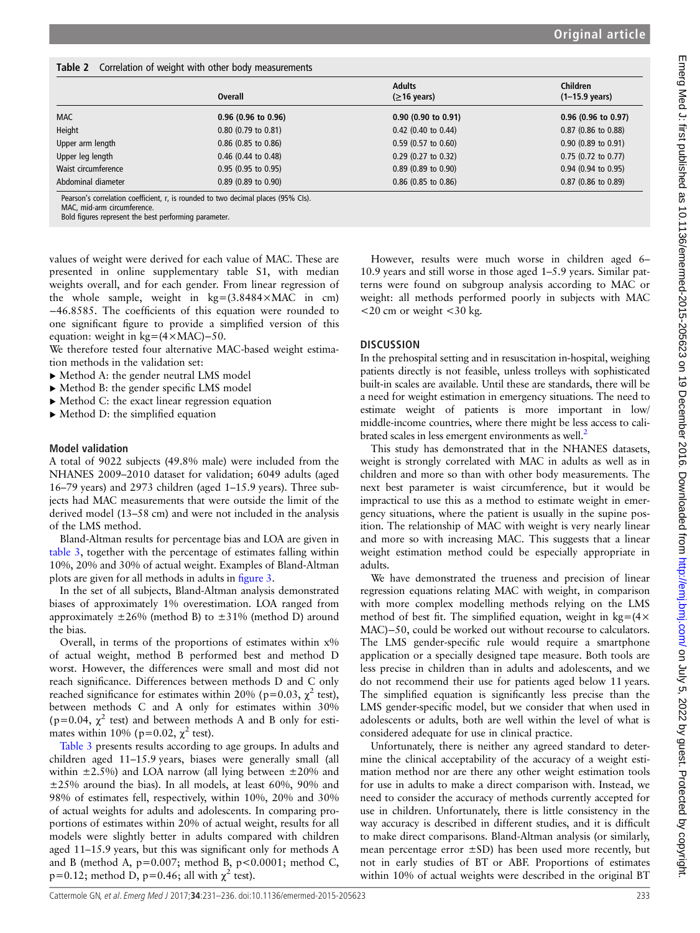<span id="page-2-0"></span>

|                     | <b>Overall</b>        | <b>Adults</b><br>$(≥16 \text{ years})$ | <b>Children</b><br>$(1-15.9 \text{ years})$ |
|---------------------|-----------------------|----------------------------------------|---------------------------------------------|
| <b>MAC</b>          | $0.96$ (0.96 to 0.96) | $0.90$ (0.90 to 0.91)                  | $0.96$ (0.96 to 0.97)                       |
| Height              | $0.80$ (0.79 to 0.81) | $0.42$ (0.40 to 0.44)                  | $0.87$ (0.86 to 0.88)                       |
| Upper arm length    | $0.86$ (0.85 to 0.86) | $0.59$ (0.57 to 0.60)                  | $0.90$ (0.89 to 0.91)                       |
| Upper leg length    | $0.46$ (0.44 to 0.48) | $0.29$ (0.27 to 0.32)                  | $0.75$ (0.72 to 0.77)                       |
| Waist circumference | $0.95$ (0.95 to 0.95) | $0.89$ (0.89 to 0.90)                  | $0.94$ (0.94 to 0.95)                       |
| Abdominal diameter  | $0.89$ (0.89 to 0.90) | $0.86$ (0.85 to 0.86)                  | $0.87$ (0.86 to 0.89)                       |

Pearson's correlation coefficient, r, is rounded to two decimal places (95% CIs).

MAC, mid-arm circumference.

Bold figures represent the best performing parameter.

values of weight were derived for each value of MAC. These are presented in online [supplementary table S1,](http://dx.doi.org/10.1136/emermed-2015-205623) with median weights overall, and for each gender. From linear regression of the whole sample, weight in  $kg = (3.8484 \times MAC \text{ in cm})$ −46.8585. The coefficients of this equation were rounded to one significant figure to provide a simplified version of this equation: weight in kg=(4×MAC)−50.

We therefore tested four alternative MAC-based weight estimation methods in the validation set:

- ▸ Method A: the gender neutral LMS model
- ▸ Method B: the gender specific LMS model
- ▸ Method C: the exact linear regression equation
- $\blacktriangleright$  Method D: the simplified equation

#### Model validation

A total of 9022 subjects (49.8% male) were included from the NHANES 2009–2010 dataset for validation; 6049 adults (aged 16–79 years) and 2973 children (aged 1–15.9 years). Three subjects had MAC measurements that were outside the limit of the derived model (13–58 cm) and were not included in the analysis of the LMS method.

Bland-Altman results for percentage bias and LOA are given in [table 3](#page-4-0), together with the percentage of estimates falling within 10%, 20% and 30% of actual weight. Examples of Bland-Altman plots are given for all methods in adults in fi[gure 3.](#page-4-0)

In the set of all subjects, Bland-Altman analysis demonstrated biases of approximately 1% overestimation. LOA ranged from approximately  $\pm 26\%$  (method B) to  $\pm 31\%$  (method D) around the bias.

Overall, in terms of the proportions of estimates within  $x\%$ of actual weight, method B performed best and method D worst. However, the differences were small and most did not reach significance. Differences between methods D and C only reached significance for estimates within 20% (p=0.03,  $\chi^2$  test), between methods C and A only for estimates within 30% (p=0.04,  $\chi^2$  test) and between methods A and B only for estimates within 10% ( $p=0.02$ ,  $\chi^2$  test).

[Table 3](#page-4-0) presents results according to age groups. In adults and children aged 11–15.9 years, biases were generally small (all within  $\pm 2.5\%$ ) and LOA narrow (all lying between  $\pm 20\%$  and ±25% around the bias). In all models, at least 60%, 90% and 98% of estimates fell, respectively, within 10%, 20% and 30% of actual weights for adults and adolescents. In comparing proportions of estimates within 20% of actual weight, results for all models were slightly better in adults compared with children aged 11–15.9 years, but this was significant only for methods A and B (method A,  $p=0.007$ ; method B,  $p<0.0001$ ; method C, p=0.12; method D, p=0.46; all with  $\chi^2$  test).

However, results were much worse in children aged 6– 10.9 years and still worse in those aged 1–5.9 years. Similar patterns were found on subgroup analysis according to MAC or weight: all methods performed poorly in subjects with MAC <20 cm or weight <30 kg.

#### **DISCUSSION**

In the prehospital setting and in resuscitation in-hospital, weighing patients directly is not feasible, unless trolleys with sophisticated built-in scales are available. Until these are standards, there will be a need for weight estimation in emergency situations. The need to estimate weight of patients is more important in low/ middle-income countries, where there might be less access to cali-brated scales in less emergent environments as well.<sup>[2](#page-5-0)</sup>

This study has demonstrated that in the NHANES datasets, weight is strongly correlated with MAC in adults as well as in children and more so than with other body measurements. The next best parameter is waist circumference, but it would be impractical to use this as a method to estimate weight in emergency situations, where the patient is usually in the supine position. The relationship of MAC with weight is very nearly linear and more so with increasing MAC. This suggests that a linear weight estimation method could be especially appropriate in adults.

We have demonstrated the trueness and precision of linear regression equations relating MAC with weight, in comparison with more complex modelling methods relying on the LMS method of best fit. The simplified equation, weight in  $kg = (4 \times$ MAC)−50, could be worked out without recourse to calculators. The LMS gender-specific rule would require a smartphone application or a specially designed tape measure. Both tools are less precise in children than in adults and adolescents, and we do not recommend their use for patients aged below 11 years. The simplified equation is significantly less precise than the LMS gender-specific model, but we consider that when used in adolescents or adults, both are well within the level of what is considered adequate for use in clinical practice.

Unfortunately, there is neither any agreed standard to determine the clinical acceptability of the accuracy of a weight estimation method nor are there any other weight estimation tools for use in adults to make a direct comparison with. Instead, we need to consider the accuracy of methods currently accepted for use in children. Unfortunately, there is little consistency in the way accuracy is described in different studies, and it is difficult to make direct comparisons. Bland-Altman analysis (or similarly, mean percentage error  $\pm$ SD) has been used more recently, but not in early studies of BT or ABF. Proportions of estimates within 10% of actual weights were described in the original BT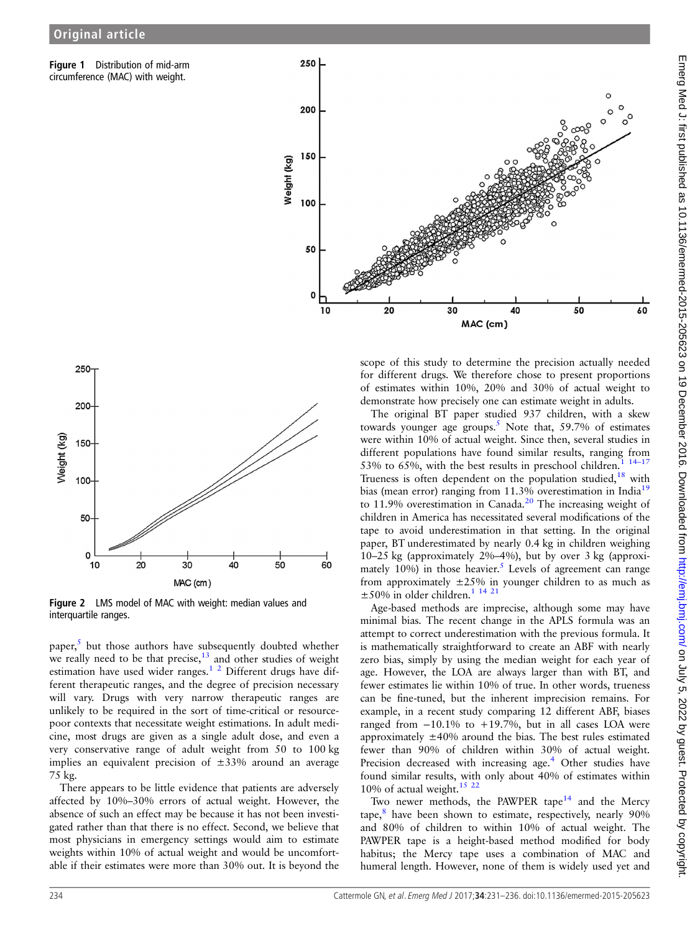<span id="page-3-0"></span>Figure 1 Distribution of mid-arm circumference (MAC) with weight.





Figure 2 LMS model of MAC with weight: median values and interquartile ranges.

paper, $5$  but those authors have subsequently doubted whether we really need to be that precise, $13$  and other studies of weight estimation have used wider ranges.<sup>1</sup> <sup>2</sup> Different drugs have different therapeutic ranges, and the degree of precision necessary will vary. Drugs with very narrow therapeutic ranges are unlikely to be required in the sort of time-critical or resourcepoor contexts that necessitate weight estimations. In adult medicine, most drugs are given as a single adult dose, and even a very conservative range of adult weight from 50 to 100 kg implies an equivalent precision of  $\pm 33\%$  around an average 75 kg.

There appears to be little evidence that patients are adversely affected by 10%–30% errors of actual weight. However, the absence of such an effect may be because it has not been investigated rather than that there is no effect. Second, we believe that most physicians in emergency settings would aim to estimate weights within 10% of actual weight and would be uncomfortable if their estimates were more than 30% out. It is beyond the

scope of this study to determine the precision actually needed for different drugs. We therefore chose to present proportions of estimates within 10%, 20% and 30% of actual weight to demonstrate how precisely one can estimate weight in adults.

The original BT paper studied 937 children, with a skew towards younger age groups.<sup>[5](#page-5-0)</sup> Note that, 59.7% of estimates were within 10% of actual weight. Since then, several studies in different populations have found similar results, ranging from 53% to 65%, with the best results in preschool children.<sup>1</sup> Trueness is often dependent on the population studied,<sup>[18](#page-5-0)</sup> with bias (mean error) ranging from 11.3% overestimation in India<sup>[19](#page-5-0)</sup> to 11.9% overestimation in Canada.<sup>[20](#page-5-0)</sup> The increasing weight of children in America has necessitated several modifications of the tape to avoid underestimation in that setting. In the original paper, BT underestimated by nearly 0.4 kg in children weighing 10–25 kg (approximately 2%–4%), but by over 3 kg (approximately 10%) in those heavier.<sup>5</sup> Levels of agreement can range from approximately  $\pm 25\%$  in younger children to as much as  $\pm$ 50% in older children.<sup>[1 14 21](#page-5-0)</sup>

Age-based methods are imprecise, although some may have minimal bias. The recent change in the APLS formula was an attempt to correct underestimation with the previous formula. It is mathematically straightforward to create an ABF with nearly zero bias, simply by using the median weight for each year of age. However, the LOA are always larger than with BT, and fewer estimates lie within 10% of true. In other words, trueness can be fine-tuned, but the inherent imprecision remains. For example, in a recent study comparing 12 different ABF, biases ranged from  $-10.1\%$  to  $+19.7\%$ , but in all cases LOA were approximately  $\pm 40\%$  around the bias. The best rules estimated fewer than 90% of children within 30% of actual weight. Precision decreased with increasing age.<sup>[4](#page-5-0)</sup> Other studies have found similar results, with only about 40% of estimates within 10% of actual weight. $15^{22}$ 

Two newer methods, the PAWPER tape<sup>14</sup> and the Mercy tape, $8$  have been shown to estimate, respectively, nearly 90% and 80% of children to within 10% of actual weight. The PAWPER tape is a height-based method modified for body habitus; the Mercy tape uses a combination of MAC and humeral length. However, none of them is widely used yet and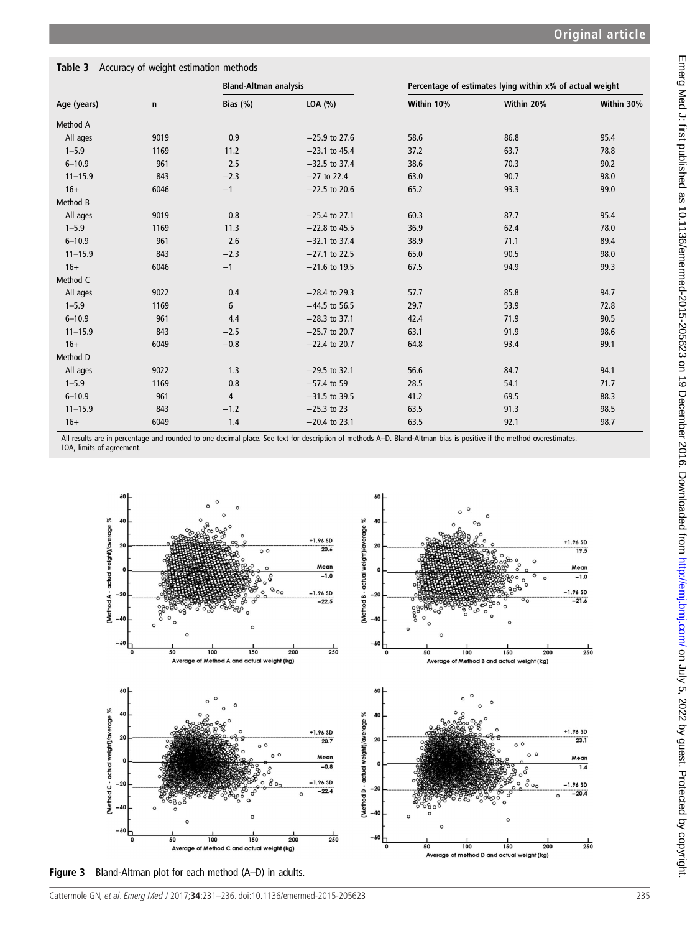# <span id="page-4-0"></span>Table 3 Accuracy of weight estimation methods

| Age (years) | $\mathbf n$ | <b>Bland-Altman analysis</b> |                 |            | Percentage of estimates lying within x% of actual weight |            |  |
|-------------|-------------|------------------------------|-----------------|------------|----------------------------------------------------------|------------|--|
|             |             | Bias $(\%)$                  | LOA (%)         | Within 10% | Within 20%                                               | Within 30% |  |
| Method A    |             |                              |                 |            |                                                          |            |  |
| All ages    | 9019        | 0.9                          | $-25.9$ to 27.6 | 58.6       | 86.8                                                     | 95.4       |  |
| $1 - 5.9$   | 1169        | 11.2                         | $-23.1$ to 45.4 | 37.2       | 63.7                                                     | 78.8       |  |
| $6 - 10.9$  | 961         | 2.5                          | $-32.5$ to 37.4 | 38.6       | 70.3                                                     | 90.2       |  |
| $11 - 15.9$ | 843         | $-2.3$                       | $-27$ to 22.4   | 63.0       | 90.7                                                     | 98.0       |  |
| $16+$       | 6046        | $-1$                         | $-22.5$ to 20.6 | 65.2       | 93.3                                                     | 99.0       |  |
| Method B    |             |                              |                 |            |                                                          |            |  |
| All ages    | 9019        | 0.8                          | $-25.4$ to 27.1 | 60.3       | 87.7                                                     | 95.4       |  |
| $1 - 5.9$   | 1169        | 11.3                         | $-22.8$ to 45.5 | 36.9       | 62.4                                                     | 78.0       |  |
| $6 - 10.9$  | 961         | 2.6                          | $-32.1$ to 37.4 | 38.9       | 71.1                                                     | 89.4       |  |
| $11 - 15.9$ | 843         | $-2.3$                       | $-27.1$ to 22.5 | 65.0       | 90.5                                                     | 98.0       |  |
| $16+$       | 6046        | $-1$                         | $-21.6$ to 19.5 | 67.5       | 94.9                                                     | 99.3       |  |
| Method C    |             |                              |                 |            |                                                          |            |  |
| All ages    | 9022        | 0.4                          | $-28.4$ to 29.3 | 57.7       | 85.8                                                     | 94.7       |  |
| $1 - 5.9$   | 1169        | 6                            | $-44.5$ to 56.5 | 29.7       | 53.9                                                     | 72.8       |  |
| $6 - 10.9$  | 961         | 4.4                          | $-28.3$ to 37.1 | 42.4       | 71.9                                                     | 90.5       |  |
| $11 - 15.9$ | 843         | $-2.5$                       | $-25.7$ to 20.7 | 63.1       | 91.9                                                     | 98.6       |  |
| $16+$       | 6049        | $-0.8$                       | $-22.4$ to 20.7 | 64.8       | 93.4                                                     | 99.1       |  |
| Method D    |             |                              |                 |            |                                                          |            |  |
| All ages    | 9022        | 1.3                          | $-29.5$ to 32.1 | 56.6       | 84.7                                                     | 94.1       |  |
| $1 - 5.9$   | 1169        | 0.8                          | $-57.4$ to 59   | 28.5       | 54.1                                                     | 71.7       |  |
| $6 - 10.9$  | 961         | $\overline{4}$               | $-31.5$ to 39.5 | 41.2       | 69.5                                                     | 88.3       |  |
| $11 - 15.9$ | 843         | $-1.2$                       | $-25.3$ to 23   | 63.5       | 91.3                                                     | 98.5       |  |
| $16+$       | 6049        | 1.4                          | $-20.4$ to 23.1 | 63.5       | 92.1                                                     | 98.7       |  |

All results are in percentage and rounded to one decimal place. See text for description of methods A–D. Bland-Altman bias is positive if the method overestimates. LOA, limits of agreement.



Figure 3 Bland-Altman plot for each method (A–D) in adults.

Cattermole GN, et al. Emerg Med J 2017;**34**:231–236. doi:10.1136/emermed-2015-205623 235